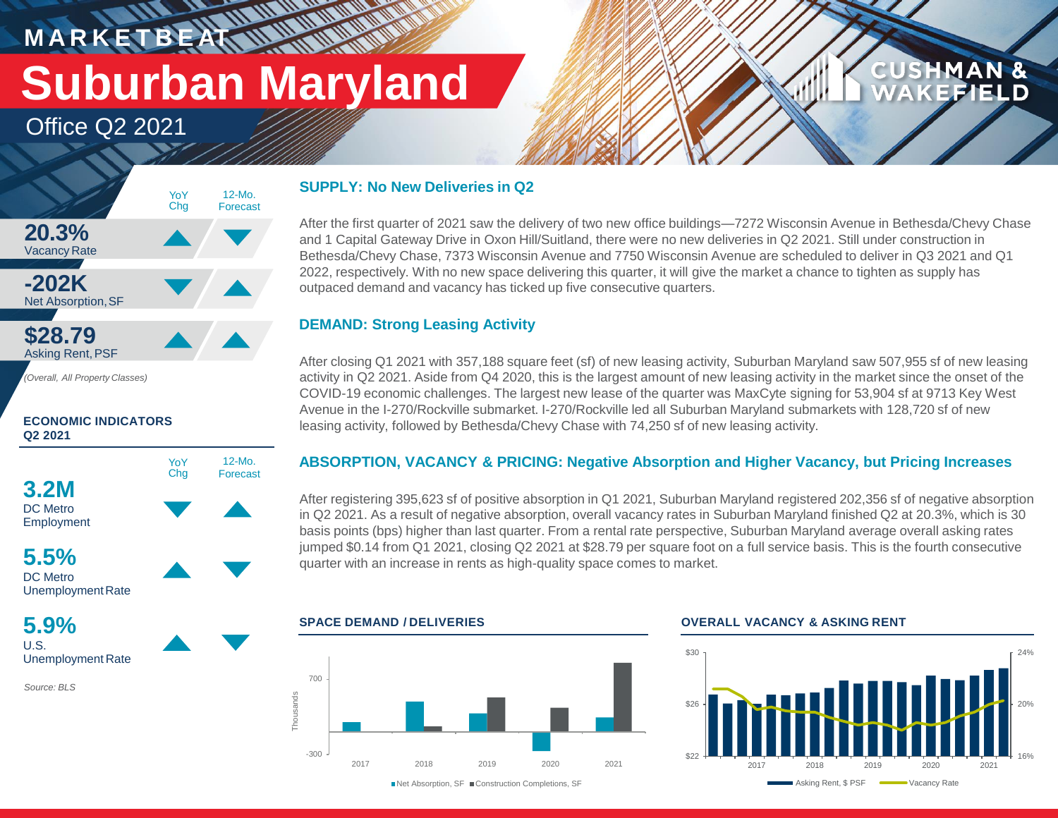## **M A R K E T B E AT Suburban Maryland**

**WATER** 

Office Q2 2021



**ECONOMIC INDICATORS Q2 2021**



U.S. Unemployment Rate

*Source: BLS*

#### **SUPPLY: No New Deliveries in Q2**

After the first quarter of 2021 saw the delivery of two new office buildings—7272 Wisconsin Avenue in Bethesda/Chevy Chase and 1 Capital Gateway Drive in Oxon Hill/Suitland, there were no new deliveries in Q2 2021. Still under construction in Bethesda/Chevy Chase, 7373 Wisconsin Avenue and 7750 Wisconsin Avenue are scheduled to deliver in Q3 2021 and Q1 2022, respectively. With no new space delivering this quarter, it will give the market a chance to tighten as supply has outpaced demand and vacancy has ticked up five consecutive quarters.

### **DEMAND: Strong Leasing Activity**

After closing Q1 2021 with 357,188 square feet (sf) of new leasing activity, Suburban Maryland saw 507,955 sf of new leasing activity in Q2 2021. Aside from Q4 2020, this is the largest amount of new leasing activity in the market since the onset of the COVID-19 economic challenges. The largest new lease of the quarter was MaxCyte signing for 53,904 sf at 9713 Key West Avenue in the I-270/Rockville submarket. I-270/Rockville led all Suburban Maryland submarkets with 128,720 sf of new leasing activity, followed by Bethesda/Chevy Chase with 74,250 sf of new leasing activity.

#### **ABSORPTION, VACANCY & PRICING: Negative Absorption and Higher Vacancy, but Pricing Increases**

After registering 395,623 sf of positive absorption in Q1 2021, Suburban Maryland registered 202,356 sf of negative absorption in Q2 2021. As a result of negative absorption, overall vacancy rates in Suburban Maryland finished Q2 at 20.3%, which is 30 basis points (bps) higher than last quarter. From a rental rate perspective, Suburban Maryland average overall asking rates jumped \$0.14 from Q1 2021, closing Q2 2021 at \$28.79 per square foot on a full service basis. This is the fourth consecutive quarter with an increase in rents as high-quality space comes to market.



**SPACE DEMAND / DELIVERIES OVERALL VACANCY & ASKING RENT**



**CUSHMAN &** 

**FEIELD** 

■Net Absorption, SF ■ Construction Completions, SF